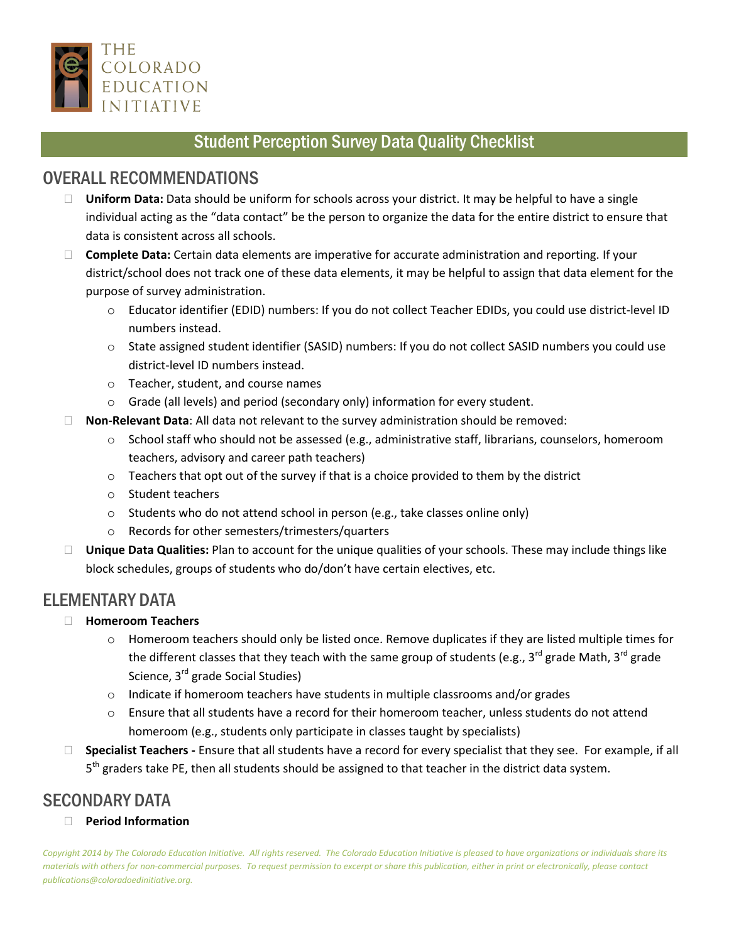

## Student Perception Survey Data Quality Checklist

## OVERALL RECOMMENDATIONS

- **Uniform Data:** Data should be uniform for schools across your district. It may be helpful to have a single individual acting as the "data contact" be the person to organize the data for the entire district to ensure that data is consistent across all schools.
- **Complete Data:** Certain data elements are imperative for accurate administration and reporting. If your district/school does not track one of these data elements, it may be helpful to assign that data element for the purpose of survey administration.
	- o Educator identifier (EDID) numbers: If you do not collect Teacher EDIDs, you could use district-level ID numbers instead.
	- o State assigned student identifier (SASID) numbers: If you do not collect SASID numbers you could use district-level ID numbers instead.
	- o Teacher, student, and course names
	- o Grade (all levels) and period (secondary only) information for every student.
- **Non-Relevant Data**: All data not relevant to the survey administration should be removed:
	- o School staff who should not be assessed (e.g., administrative staff, librarians, counselors, homeroom teachers, advisory and career path teachers)
	- $\circ$  Teachers that opt out of the survey if that is a choice provided to them by the district
	- o Student teachers
	- o Students who do not attend school in person (e.g., take classes online only)
	- o Records for other semesters/trimesters/quarters
- **Unique Data Qualities:** Plan to account for the unique qualities of your schools. These may include things like block schedules, groups of students who do/don't have certain electives, etc.

## ELEMENTARY DATA

#### **Homeroom Teachers**

- o Homeroom teachers should only be listed once. Remove duplicates if they are listed multiple times for the different classes that they teach with the same group of students (e.g.,  $3^{rd}$  grade Math,  $3^{rd}$  grade Science, 3<sup>rd</sup> grade Social Studies)
- $\circ$  Indicate if homeroom teachers have students in multiple classrooms and/or grades
- o Ensure that all students have a record for their homeroom teacher, unless students do not attend homeroom (e.g., students only participate in classes taught by specialists)
- **Specialist Teachers -** Ensure that all students have a record for every specialist that they see. For example, if all 5<sup>th</sup> graders take PE, then all students should be assigned to that teacher in the district data system.

# SECONDARY DATA

**Period Information**

*Copyright 2014 by The Colorado Education Initiative. All rights reserved. The Colorado Education Initiative is pleased to have organizations or individuals share its materials with others for non-commercial purposes. To request permission to excerpt or share this publication, either in print or electronically, please contact publications@coloradoedinitiative.org.*